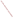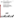

# **Environmental Technology Verification Program**

**Verification Test Plan**

# **Evaluation of Field Portable Measurement Technologies for Lead in Dust Wipes**



**Oak Ridge National Laboratory** 

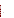## **APPROVAL SIGNATURES**

This document is intended to ensure that all aspects of the verification are documented, scientifically sound, and that operational procedures are conducted within quality assurance/quality control specifications and health and safety regulations.

The signatures of the individuals below indicate concurrence with, and agreement to operate compliance with, procedures specified in this document.

## **U. S. ENVIRONMENTAL PROTECTION AGENCY**

| <b>Project Manager:</b>      |                                    |             |
|------------------------------|------------------------------------|-------------|
|                              | <b>Eric Koglin</b>                 | <b>Date</b> |
| <b>ESD Quality Manager:</b>  |                                    |             |
|                              | <b>George Brilis</b>               | <b>Date</b> |
|                              | <b>BATTELLE MEMORIAL INSTITUTE</b> |             |
| <b>Project Lead:</b>         | <b>Jessica Sanford</b>             | <b>Date</b> |
|                              | OAK RIDGE NATIONAL LABORATORY      |             |
| <b>Project Manager:</b>      |                                    |             |
|                              | <b>Roger Jenkins</b>               | <b>Date</b> |
| <b>QA Specialist:</b>        | <b>Janet Wagner</b>                | <b>Date</b> |
|                              |                                    |             |
| <b>Statistician:</b>         | <b>Charles Bayne</b>               | <b>Date</b> |
| <b>ES&amp;H</b> Coordinator: |                                    |             |
|                              | <b>Fred Smith</b>                  | <b>Date</b> |
|                              | <b>TECHNOLOGY VENDOR</b>           |             |
| NITON, LLC:                  | <b>Jonathan Shein</b>              | <b>Date</b> |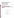# **Environmental Technology Verification Program**

# **Verification Test Plan**

# **Evaluation of Field Portable Measurement Technologies for Lead in Dust Wipes**

By:

Oak Ridge National Laboratory Oak Ridge, Tennessee 37831-6120

Prepared For:

Battelle Memorial Institute Columbus, Ohio 43201-2693

and

U.S. Environmental Protection Agency National Exposure Research Laboratory Las Vegas, NV 89193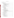# **TABLE OF CONTENTS**

| 1<br>1.1<br>1.2<br>1.3<br>1.4       | 1.3.1<br>1.3.2<br>1.3.3<br>1.3.4                                                                                                                                                                                                                                            |  |
|-------------------------------------|-----------------------------------------------------------------------------------------------------------------------------------------------------------------------------------------------------------------------------------------------------------------------------|--|
| 2<br>2.1<br>2.2                     |                                                                                                                                                                                                                                                                             |  |
| 3<br>3.1                            | TECHNOLOGY DESCRIPTION FINELLIPSE CONTROLLER SERVICES AND THE SERVICES SERVICES SERVICES SERVICES SERVICES SERVICES SERVICES SERVICES SERVICES SERVICES SERVICES SERVICES SERVICES SERVICES SERVICES SERVICES SERVICES SERVICE<br>3.1.1<br>3.1.2<br>3.1.3<br>3.1.4<br>3.1.5 |  |
| $\overline{4}$<br>4.1<br>4.2<br>4.3 | 4.2.1<br>4.2.2<br>4.2.3<br>Comparison of Field Technology Results to an NLLAP-Recognized Laboratory's Results 11<br>4.3.1<br>4.3.2                                                                                                                                          |  |
| 5<br>5.1<br>5.2<br>5.3<br>5.4       |                                                                                                                                                                                                                                                                             |  |
| 6<br>6.1<br>6.2<br>6.3<br>6.4       | 6.3.1<br>6.3.2<br>6.4.1<br>6.4.2                                                                                                                                                                                                                                            |  |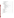| 6.5<br>6.5.1<br>6.5.2<br>6.5.3<br>6.5.4<br>6.6<br>6.7<br>6.8<br>6.9<br>6.9.1<br>6.9.2<br>6.9.2.4 Correlation Between Samples within a Concentration Set  16<br>6.9.3<br>7<br>7.1<br>7.2<br>7.3<br>7.4<br>7.5<br>Personal Protection (and according to the control of the control of the control of the control of the control of the control of the control of the control of the control of the control of the control of the control of the<br>7.6<br>7.7<br>7.8<br>7.9<br>7.10<br>7.11<br>7.12<br>7.13<br>Complaints |  | 6.4.3 |  |
|-------------------------------------------------------------------------------------------------------------------------------------------------------------------------------------------------------------------------------------------------------------------------------------------------------------------------------------------------------------------------------------------------------------------------------------------------------------------------------------------------------------------------|--|-------|--|
|                                                                                                                                                                                                                                                                                                                                                                                                                                                                                                                         |  |       |  |
|                                                                                                                                                                                                                                                                                                                                                                                                                                                                                                                         |  |       |  |
|                                                                                                                                                                                                                                                                                                                                                                                                                                                                                                                         |  |       |  |
|                                                                                                                                                                                                                                                                                                                                                                                                                                                                                                                         |  |       |  |
|                                                                                                                                                                                                                                                                                                                                                                                                                                                                                                                         |  |       |  |
|                                                                                                                                                                                                                                                                                                                                                                                                                                                                                                                         |  |       |  |
|                                                                                                                                                                                                                                                                                                                                                                                                                                                                                                                         |  |       |  |
|                                                                                                                                                                                                                                                                                                                                                                                                                                                                                                                         |  |       |  |
|                                                                                                                                                                                                                                                                                                                                                                                                                                                                                                                         |  |       |  |
|                                                                                                                                                                                                                                                                                                                                                                                                                                                                                                                         |  |       |  |
|                                                                                                                                                                                                                                                                                                                                                                                                                                                                                                                         |  |       |  |
|                                                                                                                                                                                                                                                                                                                                                                                                                                                                                                                         |  |       |  |
|                                                                                                                                                                                                                                                                                                                                                                                                                                                                                                                         |  |       |  |
|                                                                                                                                                                                                                                                                                                                                                                                                                                                                                                                         |  |       |  |
|                                                                                                                                                                                                                                                                                                                                                                                                                                                                                                                         |  |       |  |
|                                                                                                                                                                                                                                                                                                                                                                                                                                                                                                                         |  |       |  |
|                                                                                                                                                                                                                                                                                                                                                                                                                                                                                                                         |  |       |  |
|                                                                                                                                                                                                                                                                                                                                                                                                                                                                                                                         |  |       |  |
|                                                                                                                                                                                                                                                                                                                                                                                                                                                                                                                         |  |       |  |
|                                                                                                                                                                                                                                                                                                                                                                                                                                                                                                                         |  |       |  |
|                                                                                                                                                                                                                                                                                                                                                                                                                                                                                                                         |  |       |  |
|                                                                                                                                                                                                                                                                                                                                                                                                                                                                                                                         |  |       |  |
|                                                                                                                                                                                                                                                                                                                                                                                                                                                                                                                         |  |       |  |
|                                                                                                                                                                                                                                                                                                                                                                                                                                                                                                                         |  |       |  |
|                                                                                                                                                                                                                                                                                                                                                                                                                                                                                                                         |  |       |  |
|                                                                                                                                                                                                                                                                                                                                                                                                                                                                                                                         |  |       |  |
|                                                                                                                                                                                                                                                                                                                                                                                                                                                                                                                         |  |       |  |
|                                                                                                                                                                                                                                                                                                                                                                                                                                                                                                                         |  |       |  |
|                                                                                                                                                                                                                                                                                                                                                                                                                                                                                                                         |  |       |  |
|                                                                                                                                                                                                                                                                                                                                                                                                                                                                                                                         |  |       |  |
|                                                                                                                                                                                                                                                                                                                                                                                                                                                                                                                         |  |       |  |
|                                                                                                                                                                                                                                                                                                                                                                                                                                                                                                                         |  |       |  |
|                                                                                                                                                                                                                                                                                                                                                                                                                                                                                                                         |  |       |  |
|                                                                                                                                                                                                                                                                                                                                                                                                                                                                                                                         |  |       |  |
|                                                                                                                                                                                                                                                                                                                                                                                                                                                                                                                         |  |       |  |
|                                                                                                                                                                                                                                                                                                                                                                                                                                                                                                                         |  |       |  |
|                                                                                                                                                                                                                                                                                                                                                                                                                                                                                                                         |  |       |  |
|                                                                                                                                                                                                                                                                                                                                                                                                                                                                                                                         |  |       |  |
|                                                                                                                                                                                                                                                                                                                                                                                                                                                                                                                         |  |       |  |
|                                                                                                                                                                                                                                                                                                                                                                                                                                                                                                                         |  |       |  |

7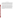#### **EXECUTIVE SUMMARY**

EPA created the Environmental Technology Verification (ETV) Program to facilitate the deployment of innovative technologies through performance verification and information dissemination. The goal of the ETV Program is to further environmental protection by substantially accelerating the acceptance and use of improved and cost-effective technologies. The ETV Program is intended to assist and inform those involved in the design, distribution, permitting, and purchase of environmental technologies. The verification study described in this test plan will be conducted by the Advanced Monitoring Systems Center (AMS), one of six Centers of the ETV program. The AMS Center is administered by the EPA's National Exposure Research Laboratory. The Oak Ridge National Laboratory (ORNL) will serve as the verification organization for the test.

This is a verification test of a commercially available x-ray fluorescence instruments (XRF) capable of measuring lead in dust wipe samples. This test will be the third round of testing for lead in dust wipe measurement technologies. In November 2001, four technologies were tested in Hartford, CT. In January 2002, one technology was tested in Oak Ridge, TN. The experimental design described in this test plan is the same as the previous two tests. The vendor will blindly analyze 160 dust wipe samples containing known amounts of lead, ranging in concentration from  $\leq 2$  to 1,500  $\mu$ g/wipe. The experimental design is particularly focused on important clearance standards, such as those identified in 40 CFR Part  $745.227(e)(8)(viii)$  of 40  $\mu$ g/ft<sup>2</sup> for floors, 250  $\mu$ g/ft<sup>2</sup> for window sills, and 400  $\mu$ g/ft<sup>2</sup> for window troughs. The samples will include wipes archived from the Environmental Lead Proficiency Analytical Testing Program (ELPAT). These samples have been prepared from dust collected in households in North Carolina and Wisconsin. Also, samples were acquired from the University of Cincinnati and archived from the first round of testing. These dust wipe samples were prepared from National Institute of Standards and Technology (NIST) Standard Reference Materials (SRMs).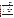# **ABBREVIATIONS AND ACRONYMS**

| AIHA             | American Industrial Hygiene Association                    |
|------------------|------------------------------------------------------------|
| <b>AMS</b>       | <b>Advanced Monitoring Systems Center, ETV</b>             |
| <b>ASTM</b>      | American Society for Testing and Materials                 |
| <b>BASP</b>      | Big-Area Silicon PIN-diode detector                        |
| <b>BMI</b>       | <b>Battelle Memorial Institute</b>                         |
| <b>CDC</b>       | Centers for Disease Control and Prevention                 |
| <b>CFR</b>       | Code of Federal Regulations                                |
| CL               | clearance level                                            |
| <b>EDXRF</b>     | energy dispersive x-ray fluorescence                       |
| <b>ELPAT</b>     | Environmental Lead Proficiency Analytical Testing program  |
| <b>EPA</b>       | U. S. Environmental Protection Agency                      |
| <b>ESH&amp;Q</b> | Environmental Safety, Health, and Quality                  |
| <b>ETV</b>       | <b>Environmental Technology Verification Program</b>       |
| <b>ETVR</b>      | <b>Environmental Technology Verification Report</b>        |
| fn               | false negative result                                      |
| fp               | false positive result                                      |
| <b>HASP</b>      | Health and Safety Plan                                     |
| <b>ICP-AES</b>   | Inductively coupled plasma-atomic emission spectrometry    |
| <b>NERL</b>      | National Exposure Research Laboratory, U.S. EPA            |
| <b>NIOSH</b>     | National Institute for Occupational Safety and Health, CDC |
| <b>NIST</b>      | National Institute of Standards & Technology               |
| <b>NLLAP</b>     | National Lead Laboratory Accreditation Program, U.S. EPA   |
| <b>OPPT</b>      | Office of Pollution Prevention and Toxics, U.S. EPA        |
| <b>ORNL</b>      | Oak Ridge National Laboratory                              |
| <b>PPE</b>       | personal protective equipment                              |
| QA               | quality assurance                                          |
| QAPP             | Quality Assurance Project Plan                             |
| QAS              | <b>ORNL Quality Assurance Specialist</b>                   |
| QC               | quality control                                            |
| <b>RSD</b>       | relative standard deviation                                |
| <b>RTI</b>       | Research Triangle Institute                                |
| <b>SD</b>        | standard deviation                                         |
| <b>SRM</b>       | <b>Standard Reference Material</b>                         |
| UC               | University of Cincinnati                                   |
| <b>XRF</b>       | x-ray fluorescence instrument                              |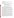#### **1 INTRODUCTION**

This chapter discusses the purpose of the verification and the verification test plan, describes the elements of the verification test plan, and provides an overview of the Environmental Technology Verification (ETV) Program and the technology verification process.

#### 1.1 Verification Objectives

The purpose of this verification test is to evaluate the performance of commercially available field analytical technologies for analyzing dust wipe samples for lead. Specifically, this plan defines the following elements of the verification test:

- Roles and responsibilities of verification test participants;
- Procedures governing verification test activities such as sample collection, preparation, analysis, data collection, and interpretation;
- Experimental design of the verification test;
- Quality assurance (QA) and quality control (QC) procedures for conducting the verification and for assessing the quality of the data generated from the verification; and,
- Health and safety requirements for performing the verification test.

#### 1.2 What is the Environmental Technology Verification Program?

The U.S. Environmental Protection Agency (EPA) created the Environmental Technology Verification Program (ETV) to facilitate the deployment of innovative or improved environmental technologies through performance verification and dissemination of information. The goal of the ETV Program is to further environmental protection by substantially accelerating the acceptance and use of improved and cost-effective technologies. ETV seeks to achieve this goal by providing high-quality, peerreviewed data on technology performance to those involved in the design, distribution, financing, permitting, purchase, and use of environmental technologies.

ETV works in partnership with recognized standards and testing organizations and stakeholder groups consisting of regulators, buyers, and vendor organizations, with the full participation of individual technology vendors. The program evaluates the performance of innovative technologies by developing verification test plans that are responsive to the needs of stakeholders, conducting field or laboratory tests (as appropriate), collecting and analyzing data, and preparing peer-reviewed reports. All evaluations are conducted in accordance with rigorous quality assurance (QA) protocols to ensure that data of known and adequate quality are generated and that the results are defensible.

ETV is a voluntary program that seeks to provide objective performance information to all of the participants in the environmental marketplace and to assist them in making informed technology decisions. ETV does not rank technologies or compare their performance, label or list technologies as acceptable or unacceptable, seek to determine "best available technology," or approve or disapprove technologies. The program does not evaluate technologies at the bench or pilot scale and does not conduct or support research. Rather, it conducts and reports on testing designed to describe the performance of technologies under a range of environmental conditions and matrices.

The program now operates six Centers covering a broad range of environmental areas. ETV began with a 5-year pilot phase (1995–2000) to test a wide range of partner and procedural alternatives in various pilot areas, as well as the true market demand for and response to such a program. In the Centers, EPA utilizes the expertise of partner "verification organizations" to design efficient processes for conducting performance tests of innovative technologies. These expert partners are both public and private organizations, including federal laboratories, states, industry consortia, and private sector entities. Verification organizations oversee and report verification activities based on testing and QA protocols developed with input from all major stakeholder/customer groups associated with the technology area. The verification test described in this plan will be administered by the Advanced Monitoring Systems (AMS) Center, with Oak Ridge National Laboratory (ORNL) serving as the verification organization. (To learn more about ETV, visit ETV's Web site at www.epa.gov/etv and ORNL's web site at www.ornl.gov/etv). The AMS Center is administered by EPA's National Exposure Research Laboratory (NERL).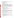# 1.3 Technology Verification Process

The technology verification process is intended to serve as a template for conducting technology verifications that will generate high quality data which can be used to verify technology performance. Four key steps are inherent in the process:

- Needs identification and technology selection;
- Verification test planning and implementation;
- Report preparation;
- Information distribution.

# *1.3.1 Needs Identification and Technology Selection*

The first step in the technology verification process is to determine technology needs of the usercommunity (typically state and Federal regulators and the regulated community). Each Center utilizes stakeholder groups. Members of the stakeholder groups come from EPA, the Departments of Energy and Defense, industry, and state regulatory agencies. The stakeholders are invited to identify technology needs and to assist in finding technology vendors with commercially available technologies that meet the needs. Once a technology need is established, a search is conducted to identify suitable technologies. The technology search and identification process consists of reviewing responses to *Commerce Business Daily*  announcements, searches of industry and trade publications, attendance at related conferences, and leads from technology vendors. The following criteria are used to determine whether a technology is a good candidate for the verification:

- Meets user needs
- May be used in the field or in a mobile laboratory
- Applicable to a variety of environmentally impacted sites
- High potential for resolving problems for which current methods are unsatisfactory
- Costs are competitive with current methods
- Performance is better than current methods in areas such as data quality, sample preparation, or analytical turnaround
- Uses techniques that are easier and safer than current methods
- Is commercially available and field-ready.

For this verification test of lead measurement technologies, ORNL has assembled a technical panel of the nation's experts in this field. The technical panel includes representation from the U.S. Department of Housing and Urban Development, the National Institute for Occupational Safety and Health, the National Institute of Standards and Technology, Research Triangle Institute, the American Industrial Hygiene Association, the Massachusetts Childhood Lead Poisoning and Prevention Program, and several EPA offices, including the Office of Pollution Prevention and Toxics (OPPT).

# *1.3.2 Verification Planning and Implementation*

After a vendor agrees to participate, EPA, the Verification Organization, and the vendor meet to discuss each participants responsibilities in the verification process. In addition, the following issues are addressed:

- Site selection. Identifying sites that will provide the appropriate physical or chemical environment, including contaminated media
- Determining logistical and support requirements (for example, field equipment, power and water sources, mobile laboratory, communications network)
- Arranging analytical and sampling support
- Preparing and implementing a verification test plan that addresses the experimental design, sampling design, QA/QC, health and safety considerations, scheduling of field and laboratory operations, data analysis procedures, and reporting requirements

# *1.3.3 Report Preparation*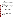Innovative technologies are evaluated independently and, when possible, against conventional technologies. The technologies being verified are operated by the vendors in the presence of independent observers. The observers are EPA staff, technical panel staff and from a independent third-party organization. The data generated during the verification test are used to evaluate the capabilities, limitations, and field applications of each technology. A data summary and detailed evaluation of each technology are published in an Environmental Technology Verification Report (ETVR). The original complete data set is available upon request.

An important component of the ETVR is the Verification Statement, which consists of three to five pages, using the performance data contained in the report, are issued by EPA and appear on the ETV Internet Web page. The Verification Statement is signed by representatives of EPA and ORNL.

#### *1.3.4 Information Distribution*

Producing the ETVR and the Verification Statement represents a first step in the ETV outreach efforts. ETV gets involved in many activities to showcase the technologies that have gone through the verification process. The Program is represented at many environmentally-related technical conferences and exhibitions. ETV representatives also participate in panel sessions at major technical conferences. ETV maintains a traveling exhibit that describes the program, displays the names of the companies that have had technologies verified, and provides literature and reports.

We have been taking advantage of the Web by making the ETVRs available for downloading to anyone interested. The ETVRs and the Verification Statements are available in Portable Document Format (.pdf) on the ETV Web site (http://www.epa.gov/etv).

# 1.4 Purpose of this Verification Test Plan

The purpose of the verification test plan is to describe the procedures that will be used to verify the performance goals of the technologies participating in this verification. This document incorporates the QA/QC elements needed to provide data of appropriate quality sufficient to reach a credible position regarding performance. This is not a method validation study, nor does it represent every environmental situation which may be appropriate for these technologies. But it will provide data of sufficient quality to make a judgement about the application of the technology under conditions similar to those encountered in the field under normal conditions.

This test plan was developed based on the first round of testing which occurred in November 2001 in Hartford, CT (four technologies) and the second round of testing which occurred in January 2002 in Oak Ridge, TN (one technology).

# **2 VERIFICATION RESPONSIBILITIES AND COMMUNICATION**

This section identifies the organizations involved in this verification test and describes the primary responsibilities of each organization. It also describes the methods and frequency of communication that will be used in coordinating the verification activities.

# 2.1 Verification Organization and Participants

Participants in this verification are listed in Table 2-1. The specific responsibilities of each verification participant are discussed in Section 2.3 This verification test is being coordinated by the Oak Ridge National Laboratory (ORNL) under the direction of Battelle Memorial Institute (BMI) and the EPA's Office of Research and Development, National Exposure Research Laboratory. EPA and BMI's role is to administer the verification program. ORNL's role is to provide technical and administrative leadership and support in conducting the verification.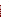|  | Table 2-1. Verification Participants in the Lead in Dust Field Analytical Technology Verification Test |  |  |  |  |
|--|--------------------------------------------------------------------------------------------------------|--|--|--|--|
|--|--------------------------------------------------------------------------------------------------------|--|--|--|--|

| Organization | <b>Point(s) of Contact</b> | Role |
|--------------|----------------------------|------|
|              |                            |      |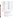|              | Bethel Va<br>Bldg. 4500<br>Oak Ridge, T                                                       |
|--------------|-----------------------------------------------------------------------------------------------|
|              | <b>Battelle Mem</b><br><b>Statistics and Data Anal</b><br>Battelle<br>505 Kin<br>Columbus, Ol |
|              | U.S.<br>National Exposure<br>Environmental<br>P.O. Bo<br>Las Vegas, N                         |
|              | NITO <sub>1</sub><br>900 Middlese<br>Billerica,                                               |
|              | Data<br>4388 Glendale<br>Cincinnati,                                                          |
| $\mathbf{E}$ | <b>U.S. EPA</b><br>11 Techno<br>North Chelmsford                                              |
|              | 2.2<br>Responsibilitie<br>The following i<br>section, the term "vende                         |
| ē            | The Vendor, in consulta<br>verification test:                                                 |
|              |                                                                                               |
| É            |                                                                                               |
|              | ORNL has responsibilit                                                                        |
| _<br>ഗ       |                                                                                               |

| <b>Oak Ridge National Laboratory</b><br>P.O. Box 2008<br><b>Bethel Valley Road</b><br>Bldg. 4500S, MS-6120<br>Oak Ridge, TN 37831-6120                                  | Project Manager: Roger Jenkins<br>phone: (865) 574-4871<br>fax: (865) 576-7956<br>jenkinsra@ornl.gov     | verification<br>organization       |
|-------------------------------------------------------------------------------------------------------------------------------------------------------------------------|----------------------------------------------------------------------------------------------------------|------------------------------------|
| <b>Battelle Memorial Institute</b><br><b>Statistics and Data Analysis Systems Department</b><br><b>Battelle Columbus</b><br>505 King Avenue<br>Columbus, OH, 43201-2693 | Project Lead: Jessica Sanford<br>phone: (614) 424-4998<br>fax: (614) 424-4250<br>Sanford@battelle.org    | <b>BMI</b> project<br>management   |
| <b>U.S. EPA</b><br>National Exposure Research Laboratory<br><b>Environmental Science Division</b><br>P.O. Box 93478<br>Las Vegas, NV 89193-3478                         | Project Officer: Eric Koglin<br>phone: (702) 798-2332<br>fax: (702) 798-2107<br>koglin. eric@epa.gov     | EPA project<br>management          |
| NITON, LLC<br>900 Middlesex Tpk., Bldg. 8<br>Billerica, MA 01821                                                                                                        | <b>Contact:</b> Jonathan Shein<br>phone: (978) 670-7460<br>fax: (978) 670-7430<br>jjshein@niton.com      | technology<br>vendor               |
| <b>DataChem</b><br>4388 Glendale-Milford Road<br>Cincinnati, Ohio 45242                                                                                                 | <b>Contact: Dixie Yockey</b><br>phone: (513) 733-5336<br>fax: (513) 733-5347<br>dyockey@datachemlabs.com | NLLAP-<br>recognized<br>laboratory |
| <b>U.S. EPA Region 1</b><br>11 Technology Drive<br>North Chelmsford, MA 01863-2431                                                                                      | <b>Contact: Paul Carroll</b><br>phone: (617) 918 8306<br>$carroll$ . paulr $(a)$ epa. gov                | Test site host                     |

# 2.2 Responsibilities

is a delineation of each participant's responsibilities for the verification test. In this or" applies to NITON, LLC.

ation with ORNL, BMI, and EPA, is responsible for the following elements of this

- Contribute to the design and preparation of the verification test plan;
- Provide detailed procedures for using the technology;
- Prepare field-ready technology for verification;
- Operating the technology during the verification test;
- Documenting the methodology and operation of the technology during the verification;
- Furnish data in a format that can be compared to laboratory values;
- Logistical, and other support, as required.

ties for:

- Preparing the verification test plan;
- Developing a quality assurance project plan (QAPP) (Section 6 of the verification test plan);
- Preparing a health and safety plan (HASP) (Section 7 of the verification test plan) for the verification activities;
- Developing a test plan for the verification;
- Acquiring the necessary laboratory analysis data;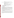• Performing sample preparation activities (including purchasing, labeling, and distributing).

ORNL, BMI, and EPA have coordination and oversight responsibilities for:

- Providing needed logistical support, establishing a communication network, and scheduling and coordinating the activities of all verification participants, including the technical panel;
- Auditing the on-site sampling activities;
- Managing, evaluating, interpreting, and reporting on data generated by the verification;
- Evaluating and reporting on the performance of the technologies;
- Other logistical information and support needed to coordinate access to the site for the field portion of the verification, such as waste disposal.

# **3 TECHNOLOGY DESCRIPTION**

This section provides description of the technology participating in the verification test. The description was provided by the vendor, with minimal editing by ORNL.

## 3.1 NITON Corporation

### *3.1.1 General Description*

The sample analyzer is an energy dispersive x-ray fluorescence (EDXRF) spectrometer that uses a low power miniature x-ray tube with a silver target tube to excite characteristic x-rays of a test sample's constituent elements. These characteristic x-rays are continuously detected, identified, and quantified by the spectrometer during sample analysis. The energy of each x-ray detected identifies a particular element present in the sample. The rate at which x-rays of a given energy are counted provides a determination of the quantity of that element that is present in the sample.

Detection of the characteristic lead x-rays is achieved using a highly-efficient, thermo-electrically cooled, solid-state detector, known as the Big-Area Silicon PIN-diode (BASP). Signals from the BASP detector are amplified, digitized, and then quantified via integral multichannel analysis and data processing units. Sample test results are displayed in total micrograms of lead per dust-wipe.

# *3.1.2 Product Description*

The NITON XLt series sample analyzer provides the user with the speed and efficiency of x-ray tube excitation, while greatly reducing the regulatory demands typically encountered with isotope-based systems. In most cases, the XLt can be shipped from state to state and country to country with minimal paperwork and expense.

As with the previous generation XL isotope-based series, the XLt series can be equipped for dust wipe analysis with both a metal dust wipe holder and a thin sample test stand. The thin sample test stand (see Figure 3-1) offers both ease of use and optimum safety as the reading cannot be initiated until the sample drawer is closed and locked into position. The sample drawer actuates the proximity sensor and permits a reading to be taken.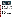

**Figure 3-1. XLt with open sample drawer (left) and with closed sample drawer (right), ready for analysis.** 

# *3.1.3 Sample Preparation*

- 1. For ELPAT samples, unfold and distribute the sample across the surface of the wipe using a spatula or equivalent tool. The tool must be cleaned in between each sample preparation.
- 2. Fold the sample five times, as specified in the schematic below, such that it is neatly folded to the proper size (1 x 1.5 inches) - see Figure 3-2.
- 3. Dry the sample prior to testing: The addition of this step has been found to improve the accuracy and precisions of dust-wipe measurements. For example, dry for 20 minutes at 250° F. in a toaster oven, or expose the sample overnight to ambient temperature and humidity. After oven drying, allow the dried sample to sit in ambient air for 5 minutes.
- 4. Bag the wipe sample in a 2 x 2 inch plastic bag (NITON part number 187-471 or equivalent) and label. To eliminate the potential for cross-contamination of samples, never reuse plastic bags.
- 5. Position the wipe sample in its plastic bag within the frame of the metal dust wipe holder (NITON part number 180-407 or equivalent).

# *3.1.4 Sample Analysis*

- 1. Position the metal dust wipe holder at the number-one position on the thin sample test stand and take the first of four measurements (for 60 seconds). Note that the following procedure using four sample measurements has been designed to insure that the entire area of the folded dust-wipe sample is properly measured by the spectrometer.
- 2. Place the metal dust wipe holder at the number-two position on the test stand and take the second measurement (for 60 seconds).
- 3. Rotate the dust wipe holder 180 degrees (without turning the sample holder upside-down).
- 4. Place the metal dust wipe holder at the number-one position on the test stand and take the third measurement (for 60 seconds).
- 5. Place the metal dust wipe holder at the number-two position on the test stand and take the fourth measurement (for 60 seconds).

At the end of the fourth run, the instrument will display an average of the four individual readings. At this point, the bag should be turned over and steps 1-5 should be repeated for the back side of the wipe. The average concentration from the four readings on the front of the wipe will be averaged with the average of the four readings on the back of the wipe to give the final result.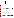

Dust wipe folding. Start at top left, and proceed as shown, making 5 folds.

**Figure 3-2. NITON folding procedure.** 

#### *3.1.5 Calibration and System Verification*

The instrument is factory calibrated. During the test, instrument performance will be verified by placing verification samples in the metal dust wipe holder and follow steps one through five of the "Sample Analysis" procedure above. The verification samples will be at nominal concentrations of 40  $\mu$ g/wipe, 250  $\mu$ g/wipe, and  $400 \mu g/\text{wipe}$ . These verification samples will be previously characterized ELPAT or University of Cincinnati dust wipes samples that have been prepared in the same procedure as detailed above. These verification samples will be run at the beginning of the day and periodically throughout the day (between batches of samples or every 2-3 hours) to ensure instrument stability.

## **4 VERIFICATION TEST DESIGN**

This section discusses the objectives and design of the verification test, factors that must be considered to meet the performance objectives, and the information that ORNL, BMI, and EPA will use to evaluate the results of the verification.

#### 4.1 Drivers and Objectives of the Verification Test

The purpose of this test is to evaluate the performance of field analytical technologies that are capable of analyzing dust wipe samples for lead contamination. This test will provide information on the potential applicability of field technologies for clearance testing. The experimental design is particularly focused on important clearance standards, such as those identified in 40 CFR Part 745.227(e)(8)(viii) of 40  $\mu$ g/ft<sup>2</sup> for floors, 250  $\mu$ g/ft<sup>2</sup> for window sills, and 400  $\mu$ g/ft<sup>2</sup> for window troughs [1].

The primary objectives of this verification test are to evaluate the field analytical technologies in the following areas: (1) how well each performs relative to a conventional, fixed-site, analytical method for the analysis of dust wipe samples for lead; (2) how well each performs relative to results generated in previously rounds of ELPAT testing (see ELPAT described below), and (3) the logistical and economic resources necessary to operate the technology. Secondary objectives for this verification are to evaluate the field analytical technology in terms of its reliability, ruggedness, cost, range of usefulness, sample throughput, data quality, and ease of use. The planning for this verification test follows the guidelines established in the data quality objectives process.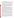# 4.2 Summary of the Experimental Design

All of the samples analyzed in this verification test were archived from the previous round of ETV testing in November 2001. Prior to the test, 16 archived samples, similar in concentration and storage conditions to those that will be used in the test, were analyzed by DataChem to confirm that the sample concentrations had not changed significantly. The results indicated that the measured values of the 16 samples were all between 87% and 105% of the estimated values, indicating that the sample concentrations had not degraded. Sample loss when stored in a freezer was not expected to be an issue, since the ELPAT program archives dust wipes for years.

All of the wipes utilized in this test (PaceWipe™ and Aramsco Lead Wipe™) were on the list of wipes recommended for lead testing by the American Society for Testing and Materials requirements [2]. Initial consideration was given to conducting the test in a real-world situation, where the technologies would have been deployed in a housing unit that had been evacuated due to high levels lead contamination. In addition to the safety concern of subjecting participants to lead exposure, the spatial variability of adjacent samples would have been so great that it would be much larger than the expected variability of this type of technology, therefore making it difficult to separate instrument/method variability and sampling variability. The availability of well-characterized samples derived from "real-world" situations made the use of proficiency testing samples (so-called "ELPAT" samples) and other prepared samples an attractive alternative.

#### *4.2.1 ELPAT and Blank Sample Description*

In 1992, the American Industrial Hygiene Association (AIHA) established the Environmental Lead Proficiency Analytical Testing (ELPAT) program. The ELPAT Program is a cooperative effort of the American Industrial Hygiene Association (AIHA), and researchers at the Centers for Disease Control and Prevention (CDC), National Institute for Occupational Safety and Health (NIOSH), and the EPA Office of Pollution Prevention and Toxics (OPPT). The ELPAT program is designed to assist laboratories in improving their analytical performance, and therefore does not specify use of a particular analytical method. Participating laboratories are sent samples to analyze on a quarterly basis. The reported values must fall within a range of acceptable values in order for the laboratory to be deemed proficient for that quarter.

Research Triangle Institute (RTI) in Research Triangle Park, NC, is contracted to prepare and distribute the lead-containing paint, soil, and dust wipe ELPAT samples. For the rounds of testing which have occurred since 1992, archived samples are available for purchase. Some of these samples were used in this verification test. Because the samples have already been tested by hundreds of laboratories, a certified concentration value is supplied with the sample. This certified value represents a pooled measurement of all of the results submitted, with outliers excluded from the calculation.

The following description, taken from an internal RTI report, briefly outlines how the samples were prepared. RTI developed a repository of real-world housedust, collected from multiple homes in the Raleigh/Durham/Chapel Hill area, as well as from an intervention project in Wisconsin. After collection, the dust was sterilized by gamma irradiation, and sieved to 150  $\mu$ m. A PaceWipe<sup>™</sup> was prepared for receiving the dust by opening the foil pouch, removing the wet folded wipe and squeezing the excess moisture out by hand over a trash can. The wipe was then unfolded and briefly set on a Kimwipe™ to soak up excess moisture. The PaceWipe was then transferred to a flat plastic board to await the dust. After weighing a  $0.1000 \pm 0.0005$  g portion of dust on weighing paper, the pre-weighed dust was gently tapped out onto the PaceWipe. The wipe was then folded and placed in a plastic vial, which was then capped. All vials containing the spiked wipes were stored in a cold room as a secondary means of retarding mold growth until shipment.

Before use in the ELPAT program, RTI performed a series of analyses to confirm that the samples were prepared within the quality guidelines established for the program. The data quality requirements for the ELPAT samples were: 1) the relative standard deviation of the samples analyzed by RTI must be 10% or less; 2) the measured concentrations must be within 20% of the target value that RTI was intending to prepare; and 3) analysis by an off-site laboratory must yield results within  $\pm$  20% of the RTI result. Ten samples were analyzed by RTI and nine samples were sent to the Wisconsin Occupational Health Laboratory for independent, confirmatory analysis. All ELPAT samples used in this test met the data quality requirements described above. The estimated concentration for an ELPAT sample used in this evaluation was the certified ("consensus") value (i.e., an analytically derived result).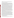RTI prepared the blank samples using the same preparation method as the ELPAT samples, but the concentration of lead was  $2 \mu g/wipe$ , well below the expected reporting limits of the participant technologies.

#### *4.2.2 University of Cincinnati Sample Description*

The ELPAT samples consisted of dust mounded in the center of a PaceWipe. The University of Cincinnati (UC) prepared "field QC samples" where the dust was sprinkled over the wipe, more similar to how a wipe would look when a dust wipe sample is collected in the field. The sample was prepared by weighing, so the concentrations can be estimated. In a typical scenario, UC sends these control samples to a laboratory along with actual field-collected samples as a quality check of the laboratory operations. Because the samples are visually indistinguishable from an actual field sample, are prepared on the same wipe, and are shipped in the same packaging, the laboratory blindly analyzes the control samples, which provides the user with an independent assessment of the quality of the laboratory's data.

A cluster of twenty UC samples prepared at the key clearance levels were added to the experimental design, primarily so that an abundance of data would exist near the clearance levels, in order to assess false positive and false negative error rates. The UC samples were prepared on Aramsco Lead Wipes™ (Lakeland, FL). The UC wipe samples were prepared using National Institute of Standards & Technology (NIST) Standard Reference Materials (SRMs). NIST SRM 2711 was used to prepare the 40  $\mu$ g/wipe samples, and NIST SRM 2710 was used to prepare the 250 and 400  $\mu$ g/wipe samples. Both SRM 2711 and SRM 2710 are Montana Soil containing trace concentrations of multiple elements, including lead. Some NIST SRM materials that are spiked on dust wipes are known to have low extraction recoveries when prepared by standard analytical methods (e.g., lead silicates cannot be extracted unless hydrofluoric acid is used) [3]. These particular SRMs are not known to contain lead silicates or to give lower lead recoveries. However, it is important to note the possibility of such when using NIST SRMs for lead dust wipe analysis, since similar SRMs (e.g., Buffalo river sediment from Wyoming) do show recoveries in the low 90% range [3].

Because accurate and precise estimated concentrations for the UC samples were imperative, ORNL imposed the following data quality requirements for the UC-prepared wipe samples: 1) each estimated concentration had to be within  $a \pm 10\%$  interval of the target clearance level; 2) additional quality control (QC) samples (at least 5% of the total samples ordered) were to be prepared and analyzed by UC as a quality check prior to shipment of the samples; and 3) the relative standard deviation of the QC samples had to be  $\leq$ 10%. It is important to note here the reason why the data quality requirements between the UC and ELPAT samples were different. The data quality requirements for the ELPAT samples (i.e.,  $\pm$  20% of the target value) was established by the ELPAT program. Since archived samples were being used, those data quality requirements could not be changed.

As a quality check of the sample preparation process, UC prepared an additional 24 samples (5% of the total number ordered). UC extracted and analyzed the samples following internal procedures (nitric/hydrochloric acid extraction, followed by atomic absorption spectrometry - see EPA 1996) and provided those results to ORNL. For the 24 samples (eight at each of the three clearance levels), the average percent recovery (i.e., UC measured concentration/UC estimated concentration x 100%) was 97% (median value = 96%, standard deviation =  $3\%$ , range = 93% to 102%). Additionally, 42 randomly-selected samples (14 at each of the three clearance levels) were analyzed an by EPA Region 1 laboratory in North Chelmsford, MA, as an independent quality control check of the accuracy and precision of UC's sample preparation procedure (nitric acid digestion followed by ICP/AES analysis - see EPA 1996). The average percent recovery (EPA Region 1 reported concentration/UC estimated concentration x 100%) was 90% (median 89%, standard deviation =  $2\%$ ), with a range of values from 86% to 93%. The average recovery determined from the EPA Region 1 analyses (90%) was lower than that which was calculated from the UC data (102%), but both values within the data quality requirement of  $100 \pm 10\%$ . Based on this data, ORNL determined that the UC sample preparation process met the established data quality criteria and was deemed acceptable for use in the determination of false positive/false negative error rates.

#### *4.2.3 Distribution and Number of Samples*

A total of 160 samples will be analyzed in the verification test. Figure 4-1 is a plot containing the distribution of the sample concentrations that will be analyzed in this study. Twenty samples were prepared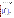by the University of Cincinnati at  $+/- 10\%$  of each of the three clearance levels (3 test levels x 20 samples = 60 samples total). Research Triangle Institute prepared 20 "blanks" at lead concentrations  $\leq 2 \mu$ g/wipe. These samples are noted as such in Figure 4-1. The remaining samples in Figure 4-1 are ELPAT samples. For most of the ELPAT samples, four samples will be analyzed at each concentration level (16 test levels x 4 samples each = 64 samples total). There are two concentration levels (at 49 and 565  $\mu$ g/wipe) where eight samples will be analyzed. While the set of samples at each concentration level were prepared using homogeneous source materials and an identical preparation procedure, ELPAT samples cannot be considered true "replicates" because each sample was prepared individually. However, these samples represent four samples prepared similarly at a specified target concentration, with an estimated value calculated from more than 100 analyses of similarly prepared samples.



**Figure 4-1. Distribution of concentration levels.**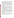4.3 Comparison of Field Technology Results to an NLLAP-Recognized Laboratory's Results

EPA regulations (40 CFR Part  $745.227(e)(8)(vii)$ ) specify that residences and child occupied facilities built before 1978 that have undergone an abatement must pass clearance testing [1]. These EPA regulations also state in 40 CFR Part 745.227(f)(2) that dust samples for clearance must be analyzed by a laboratory recognized by EPA [1]. Many EPA-authorized state and tribal lead programs have the same or similar requirements. EPA's vehicle for recognizing laboratory proficiency is the National Lead Laboratory Accreditation Program (NLLAP). Although the NLLAP was initially designed to accredit fixed site laboratories, in August 1996 the NLLAP was modified so that mobile laboratory facilities and testing firms operating portable testing technologies could also apply for accreditation. Despite this modification, the NLLAP list of accredited laboratories has almost exclusively consisted of fixed site laboratories. One possible outcome of this ETV test is that more mobile laboratory facilities and testing firms operating portable testing technologies will apply for NLLAP accreditation. In order to assess whether the field portable technologies participating in this verification test produce results that are comparable to NLLAP-recognized data, an NLLAP-recognized laboratory was selected to analyze samples concurrently with the field testing.

#### *4.3.1 Laboratory Selection*

NLLAP was established by the EPA Office of Pollution Prevention and Toxics under the legislative directive of Title X, the Lead-Based Paint Hazard Reduction Act of 1992. In order for laboratories to be recognized under the NLLAP they must successfully participate in the ELPAT Program and undergo a systems audit. The acceptable range for the ELPAT test samples is based upon the reported values from participating laboratories. Acceptable results are within three standard deviations from the consensus value. A laboratory's performance is rated as proficient if either of the following criteria are met: (1) In the last two rounds, all samples are analyzed and the results are 100% acceptable; or (2) Three fourths (75%) or more of the accumulated results over four rounds are acceptable.

The NLLAP required systems audit must include an on-site evaluation by a private or public laboratory accreditation organization recognized by NLLAP. Some of the areas evaluated in the systems audit include laboratory personnel qualifications and training, analytical instrumentation, analytical methods, quality assurance procedures, and record keeping procedures.

The list of recognized laboratories is updated monthly. ORNL obtained the list of accredited laboratories in July 2001. The list consisted of approximately130 laboratories. Those laboratories which did not accept commercial samples and those located on the U.S. west coast were automatically eliminated as potential candidates. ORNL interviewed at random approximately ten laboratories and solicited information regarding cost, typical turnaround time, and data packaging. Based on these interviews and discussions with technical panel members who had personal experience with the potential laboratories, ORNL selected DataChem (Cincinnati, OH) as the fixed-site laboratory. As a final qualifying step, DataChem blindly analyzed 16 samples (8 ELPAT and 8 prepared by UC) in a pre-test study. As shown in Table4-1 below, DataChem passed the pre-test by reporting concentrations that were within 25% of the estimated concentration for samples above the reporting limit.

#### *4.3.2 Description of Method*

The laboratory method used in this study was hot plate/nitric acid digestion, followed by Inductively coupled plasma-atomic emission spectrometry (ICP-AES) analysis. The preparation and analytical procedures, as supplied by DataChem, can be found in Appendix A. DataChem's procedures are modification of Methods 3050B and 6010B of EPA SW-846 Method Compendium for the preparation and analysis of metals in environmental matrices [4,5]. Other specific references for the preparation and analysis of dust wipes are available from the American Society for Testing and Materials (ASTM) [6].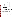| <b>Sample</b> | <b>DataChem</b>      | <b>Estimated</b> | Percent         | <b>Analysis</b> |
|---------------|----------------------|------------------|-----------------|-----------------|
| <b>Type</b>   | <b>Reported Conc</b> | Conc             | <b>Recovery</b> | Order           |
|               | $(\mu g/wipe)$       | $(\mu g/wipe)$   |                 |                 |
| <b>ELPAT</b>  | $20$                 | 2.12             | n/a             | 16              |
| <b>ELPAT</b>  | $20$                 | 2.12             | n/a             | 12              |
| <b>ELPAT</b>  | 41                   | 41.3             | 99%             | 6               |
| <b>ELPAT</b>  | 44                   | 41.3             | 107%            | $\overline{3}$  |
| <b>ELPAT</b>  | 190                  | 201.6            | 94%             | 15              |
| <b>ELPAT</b>  | 210                  | 201.6            | 104%            | 9               |
| <b>ELPAT</b>  | 440                  | 408.7            | 108%            | $\overline{2}$  |
| <b>ELPAT</b>  | 450                  | 408.7            | 110%            | 13              |
| <b>UC</b>     | $<$ 20               | 10.3             | n/a             | 4               |
| <b>UC</b>     | $<$ 20               | 5.9              | n/a             | 1               |
| $\rm UC$      | 25                   | 29.9             | 84%             | 14              |
| <b>UC</b>     | 38                   | 44               | 86%             | 10              |
| <b>UC</b>     | 150                  | 172.4            | 87%             | 11              |
| <b>UC</b>     | 200                  | 237.5            | 84%             | 7               |
| UC            | 250                  | 327.3            | 76%             | 5               |
| UC            | 310                  | 379              | 82%             | 8               |

**Table 4-1.** Summary of DataChem Pre-Test Results

# **5 EXECUTION OF THE VERIFICATION TEST**

#### 5.1 Summary of Verification Activities

This verification test will be conducted in a laboratory at EPA Region 1, in North Chelmsford, MA, from January 6 through 10, 2003. The vendor, who will operate their own equipment, must analyze all 160 samples on-site and submit results prior to departure in order to complete the verification test. The samples evaluated during the verification will consist of (1) ELPAT samples prepared from housedust collected from multiple homes in North Carolina and Wisconsin, ranging in concentration from 15 to 1,500  $\mu$ g/wipe, (2) UC-prepared samples from NIST SRMs on Aramsco LeadWipes, near the three clearance levels of 40, 250, and 400  $\mu$ g/wipe, and (3) low level samples called "detectable blanks", with concentrations (< 2  $\mu$ g lead/wipe) below typical detection levels for field technologies, prepared by RTI using the same procedure as the ELPAT samples.

# 5.2 Sample Distribution

ORNL will be responsible for sample distribution. The samples will be packaged in 20-mL plastic scintillation vials and labeled with a sample identifier. The vendor will receive the suite of samples in a randomized order. All samples will be prepared for distribution at the start of the verification. The vendor will go to a sample distribution table to pick-up the samples. The samples will be distributed in batches of 16. Completion of chains-of-custody forms will document sample transfer.

# 5.3 Submission of Results

The vendor will provide the results to ORNL**.** The vendor will be responsible for reducing the raw data into a presentation format consistent with the evaluation requirements. At the end of the verification test, the vendor will submit all final results and raw data to ORNL. After the conclusion of the test, the vendor will have one week to review their data and make revisions to their results. These revisions will not involve reanalysis of any sample. The revisions will be limited to correcting for calculation and transcription errors.

#### 5.4 Verification Performance Factors

The following are the logistical and technical performance verification factors that will be verified for each technology.

• Accuracy: closeness of technology result to an estimated known value (i.e., ELPAT certificate value and UC estimated value);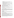- US EPA ARCHIVE DOCUMENT
- Precision: reproducibility of technology's results for set of four samples prepared at a specific concentration level;
- Comparability: performance relative to the NLLAP-recognized laboratory;
- Detectable blanks: number of samples where lead is reported above reporting limits for samples which are prepared at low levels  $(< 2 \mu g/wipe)$ ;
- Probability of false positive results: relative to all three clearance levels of 40, 250, and 400  $\mu$ g/ft<sup>2</sup>. For example, number of samples where the field technology reports a result as  $\geq 40 \mu$ g and the estimated concentration is less than 40  $\mu$ g.
- Probability of false negative results: relative to all three clearance levels of 40, 250, and 400  $\mu$ g/ft<sup>2</sup>. For example, number of samples where the field technology reports a result as  $\leq 40 \mu$ g and the estimated concentration is  $> 40 \mu$ g.
- Sample throughput: number of samples per day per number of analysts

Ease of use: user friendliness of the technology; amount of training required to operate independently. These factors and the anticipated statistical analyses are further discussed in Section 6.

# **6 QUALITY ASSURANCE PROJECT PLAN (QAPP)**

The QAPP for this verification test specifies procedures that will be used to ensure data quality and integrity. Careful adherence to these procedures will ensure that data generated from the verification will meet the desired performance objectives and will provide sound analytical results.

# 6.1 Purpose and Scope

The primary purpose of this section is to outline steps that will be taken to ensure that data resulting from this verification is of known quality and that a sufficient number of critical measurements are taken. This section is written in compliance with ORNL's ETV Quality Management Plan [7].

# 6.2 Quality Assurance Responsibilities

The implementation of the verification test plan must be consistent with the requirements of the study and routine operation of the technology. The ORNL project manager will ensure that the QAPP is implemented during all verification activities and for its approval by EPA and BMI. ORNL's QA specialist (QAS) will review and approve the QAPP and will provide QA oversight of the verification activities. The ORNL statistician will primarily be responsible for the reduction of the vendor data. The EPA program manager and EPA QA manager will review and approve this plan.

# 6.3 Field Operations

# *6.3.1 Site Training*

Preliminary site training will be provided to the vendor on the first day of testing. This will be required before initiation of the field study. This training will be conducted by the ORNL project manager or his designee. It will entail an overview of the test site, safety information, emergency procedures, and logistical information regarding the verification test.

# *6.3.2 Communication and Documentation*

Successful field operations require detailed planning and extensive communication. ORNL will communicate regularly with the verification participants to coordinate all field activities associated with this verification and to resolve any logistical, technical, or QA issues that may arise as the verification progresses. Pertinent vendor and ORNL field activities will be thoroughly documented. Field documentation will include field logbooks, photographs, field data sheets, and chain-of-custody forms.

The ORNL project manager will be responsible for maintaining all field documentation. Field notes will be kept in a bound logbook. Each page will be sequentially numbered and labeled with the project name and number. Completed pages will be signed and dated by the individual responsible for the entries. Errors will have one line drawn through them and this line will be initialed and dated. Any deviations from the approved final verification test plan will be thoroughly documented in the field logbook and provided to the ORNL**.** Photographs will be taken with a digital camera.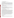#### 6.4 Performance and System Audits

The following audits will be performed during this verification.

#### *6.4.1 Technical Systems Audit*

Because the verification test will be conducted in Massachusetts, the ORNL QAS will not be able to perform an on-site surveillance during the test. However, the ORNL QAS will remotely provide oversight of the verification activities through four mechanisms: a management assessment checklist (to be completed by the ORNL project manager); email interviews with the project statistician that must be completed with 24 hours of receipt; survey for vendors to complete; and review of digital pictures of the verification activities that will be posted in near real-time on the ORNL ETV web site (www.ornl.gov/etv). This plan for remotely assessing the verification activities allows for inputs for multiple sources, so that the QAS will have an unbiased picture of how the study was conducted. The use of email will allow for spontaneous responses and follow-up questions.

#### *6.4.2 Data quality audit of the laboratory*

One of the requirements to become an NLLAP-recognized laboratory is routine quality audits. ORNL audited the laboratory during the analyses of the samples and found that the lab was proficient in following its procedures.

#### *6.4.3 Surveillance of Technology Performance*

During verification testing, ORNL staff will observe the operation of the field technology, such as observing the vendor operations, photo-documenting the test site activities, surveying calibration procedures, and reviewing sample data. The observations will be documented in a laboratory notebook. The verification report will contain the exact protocols used by the vendor during testing.

#### 6.5 Quality Assurance Reports

QA reports provide the necessary information to monitor data quality effectively. It is anticipated that the following types of QA reports will be prepared as part of this verification.

#### *6.5.1 QC Reports of Sample Preparation*

As described in Sections 4.2.1 and 4.2.2, both RTI and UC analyzed a portion of the prepared samples to confirm the accuracy and precision of the sample preparation. The concentrations of the samples prepared by RTI were through independent confirmation through the ELPAT proficiency testing process. UC prepared an additional 24 samples (5% of the total number ordered). UC extracted and analyzed the samples following internal procedures (nitric/hydrochloric acid extraction, followed by atomic absorption spectrometry - see EPA 1996) and provided those results to ORNL. For the 24 samples (eight at each of the three clearance levels), the average percent recovery (i.e., UC measured concentration/UC estimated concentration x 100%) was 97% (median value = 96%, standard deviation =  $3\%$ , range = 93% to 102%). (102%), but both values within the data quality r Additionally, 42 randomly-selected samples (14 at each of the three clearance levels) were analyzed an by EPA Region 1 laboratory, as an independent quality control check of the accuracy and precision of UC's sample preparation procedure (nitric acid digestion followed by ICP/AES analysis - see EPA 1996). The average percent recovery (EPA Region 1 reported concentration/UC estimated concentration  $x$  100%) was 90% (median 89%, standard deviation = 2%), with a range of values from 86% to 93%. The average recovery determined from the EPA Region 1 analyses (90%) was lower than that which was determined by UC (102%), but both values were within the data quality requirement of  $100 \pm 10\%$ .

#### *6.5.2 QAS Surveillance Report*

The QAS will prepare a comprehensive report of the verification activities, based on her remote observations.

#### *6.5.3 Status Reports*

ORNL will regularly inform the EPA and BMI project managers of the status of the verification. Project progress, problems and associated corrective actions, and future scheduled activities associated with the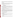verification test will be discussed. When problems occur, the vendor and ORNL will discuss them, estimate the type and degree of impact, describe the corrective actions taken to mitigate the impact and to prevent a recurrence of the problems, and discuss with BMI/EPA, as necessary. Major problems will be documented in the field logbook.

## *6.5.4 Audit Reports*

Any additional QA audits or inspections, such as those conducted by interested visitors, that take place while the verification test is being conducted will be formally reported by the auditors to the ORNL project manager, who will forward them to the BMI project lead. Informal reporting of audit results will be reported immediately to BMI through a phone call, personal communication, or email.

## 6.6 Corrective Actions

Routine corrective action may result from common monitoring activities, such as:

- Performance evaluation audits
- Technical systems audits
- Calibration procedures

If the problem identified is technical in nature, the individual vendor will be responsible for seeing that the problem is resolved. If the issue is one that is identified by ORNL, the identifying party will be responsible for seeing that the issue is properly resolved. All corrective actions will be documented. Any occurrence that causes discrepancies from the verification test plan will be noted in the technology verification report.

# 6.7 Laboratory Quality Control Checks

Internal quality control (QC) samples were analyzed by DataChem to indicate whether or not the samples were analyzed properly. A summary of QC samples include: initial calibration, continuing calibration verification, and analysis of known samples. This data was reviewed by ORNL as part of the data validation process. No discrepancies were noted in the data validation records.

# 6.8 Data Management

The vendor, ORNL, BMI, and EPA each have distinct responsibilities for managing and analyzing verification data. The vendor is responsible for obtaining, reducing, interpreting, validating, and reporting the data associated with their technology's performance. These data should be reported on the chain-of-custody. Vendor results will be due to ORNL at the conclusion of a day's field activities. The vendor's final report will be due to ORNL one week after the verification. Any discrepancies between the originally reported result and the final result must be described. ORNL is responsible for managing all the data and information generated during the verification test. BMI and ORNL are responsible for analysis and verification of the data. EPA will review the data in the verification report.

# 6.9 Data Reporting, Validation, and Analysis

To maintain good data quality, specific procedures will be followed during data reduction, review, and reporting. These procedures are detailed below.

# *6.9.1 Data Reporting*

Data reduction refers to the process of converting the raw results into a concentration which will be used for evaluation of performance. The procedures to be used will be technology dependent, but the following is required for data reporting:

- The concentration unit will be  $\mu$ g of lead/wipe.
- If no lead is detected, the concentration will be reported as less than the reporting limits of the technology, with the reporting limits stated (e.g.,  $\leq$  20  $\mu$ g/wipe). A result reported as "0" will not be accepted.

# *6.9.2 Data Validation*

Validation determines the quality of the results relative to the end use of the data. ORNL was responsible for validating the laboratory data. (Note that the vendor is responsible for validating its own data prior to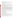final submission.) Several aspects of the data (listed below) that were reviewed. The findings of the review are documented in the validation records.

#### *6.9.2.1 Completeness of Laboratory Records*

This qualitative review ensures that all of the samples that were sent to the laboratory were analyzed, and that all of the applicable records and relevant results are included in the data package.

#### *6.9.2.2 Holding Times*

The dust wipe samples will not require refrigeration or other preservation techniques. The method requirement is that the samples be prepared within 6 months of collection, which was met.

#### *6.9.2.3 Correctness of Data*

So as not to bias the assessment of the technology's performance, errors in the laboratory data will be corrected as necessary. Corrections may be made to data that has transcription errors, calculation errors, and interpretation errors. These changes will be made conservatively, and will be based on the guidelines provided in the method used. The changes will be justified and documented in the validation records. No changes were made to the laboratory data.

#### *6.9.2.4 Correlation Between Samples within a Concentration Set*

Normally, one would not know if a single sample result was "suspect" unless (a) the sample was a spiked sample, where the concentration is known or (b) a result was reported and flagged by the laboratory as suspect for some obvious reason (e.g., no quantitative result was determined). The experimental design implemented in this verification study will provide an additional indication of the abnormality of data through the inspection of the set of four results for samples prepared at a specific concentration. Criteria has been established to determine if data is suspect. Data sets will be considered suspect if the percent relative standard deviation for a set of four similarly-prepared samples was greater than 50%, because this criteria would indicate imprecision. These data would be flagged so as not to bias the assessment of the technology's performance. Precision and accuracy evaluations may be made with and without these suspect values to represent the best and worst case scenarios. If both the laboratory and the vendor report erratic results, the data may be discarded if it is suspected that the erratic results are due to a sample preparation error.

#### *6.9.2.5 Evaluation of QC Results*

QC samples were analyzed by the NLLAP-laboratory with every batch of samples to indicate whether or not the samples were analyzed properly. Performance on these samples was reviewed and no major findings were noted in the validation records.

#### *6.9.2.6 Evaluation of Spiked Sample Data*

Spiked samples are samples containing known concentrations of analyte(s). For this verification test, all of the samples are considered spiked samples.

#### *6.9.3 Data Analysis for Verification Factors*

This section contains a list of the six primary performance verification factors to be evaluated for both the field technology and the NLLAP-recognized laboratory.

#### *6.9.3.1 Precision*

Precision, in general, refers to the degree of mutual agreement among measurements of the same materials and contaminants. Environmental applications often involve situations where "measurements of the same materials" can take on a number of interpretations. In environmental applications, precision is often best specified as a percentage of contaminant concentration. The following lists several possible interpretations of precision for environmental applications.

1) The precision involved in repeated measurements of the same sample without adjusting the test equipment.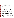- 2) The precision involved in repeated measurements of the same sample after reset, repositioning, or recalibration of the test equipment or when using different equipment of the same technology.
- 3) The precision of measurements due to spatial variability of dust samples from adjacent locations.
- 4) The precision characteristics of a specific technology in determining contamination at a specific site or at an arbitrary site.

In general, users of the technology will want to be assured that measurement variability in 1) and 2) is small. Measurement variability due to spatial variability described in 3) is likely to be site specific and is minimized in this verification by using samples prepared under homogeneous conditions. The measurement variability discussed in 4) is perhaps of most interest as it includes measurement variability resulting from possible differences in the design activities and effects of environmental conditions such as temperature that would vary from one site characterization to another as well as site and technology specific sources.

The strength of this verification's experimental design is that since an equal number of similar samples will be selected from a homogeneous population at every concentration level, an equal number of precision comparisons can be made.

Precision for this verification will be estimated by the variance, or standard deviation from the measured data. If "n" lead concentration measurements are represented by  $Y_1, Y_2, ..., Y_n$ , the estimated variance about their average value " $\overline{Y}$ " is calculated by:

$$
S^{2} = \frac{1}{n-1} \sum_{k=1}^{n} (Y_{k} - \overline{Y})^{2}
$$

The standard deviation is the square root of  $S<sup>2</sup>$  and will be analyzed to see if the precision values are a function of lead concentration levels. The estimated  $S<sup>2</sup>$  values will also be compared by F-tests to those values reported on the ELPAT certificate and by UC. To express the reproducibility relative to the average lead concentration, percent relative standard deviation (RSD) is used to quantify precision, according to the following equation:

### *RSD = (standard deviation / average concentration) x 100%*

Standard deviations estimated at each concentration level can be used to establish the relationship between the uncertainty and the average lead concentration. The overall RSD is characterized by two summary values:

- $mean$  i.e., average;
- range  $-$  i.e., the highest and lowest RSD values that were reported.

The average RSD may not be the best representation of precision, but it is reported for convenient reference. An average RSD value less than 10% indicates that the measurements are very precise. RSDs greater than 20% should be viewed as indicators of larger variability and possibly non-normal distributions. The uncertainty in the analytical measurements will include influences from both the preparation (such as extraction) and measurement steps.

#### *6.9.3.2 Accuracy*

Accuracy is a measure of how close the measured lead concentrations are to estimated values of the true concentration. The estimated values for the ELPAT samples are the certificate values that are reported on the certificate of analysis sheet provided with the samples (see Appendix B for an example). The ELPAT certificate values represent an average concentration determined by more than 100 accredited laboratories that participated in previous rounds of ELPAT testing. The UC estimated value is the concentration reported by UC for individual samples, calculated by the amount of NIST-traceable material loaded on the dust wipes. The accuracy and precision of the UC value was assessed by an independent laboratory analyzing randomly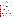selected QC samples. An EPA laboratory in Region 1 analyzed 10% of the total number of samples prepared by UC at each of the three concentration levels and confirmed that the process used to prepare the samples met the pre-determined data quality objective of accuracy within  $a \pm 10\%$  interval of the estimated value.

Accuracy of the technology measurements will be statistically tested using t-tests or non-parametric tests at the 5% significance level. These statistical tests will compare the average results with the overall estimated values using the precision of the sample measurements. Bias will then be quantified by computing the percent recovery for four similar samples or a single sample using the equation:

$$
percent recovery = [measured amount(s)/estimated value] \times 100\%
$$
 (Eq. 2)

Accuracy will be assessed using both the ELPAT and UC estimated concentrations, with the results reported separately. The comparison to the ELPAT value represents how close the technology reported results to the consensus value, which represents the amount of "recoverable" lead in the sample. Because the UC estimated values are the gravimetric values, the comparison to the UC samples represents how close the technology reported results to an absolute lead value. The UC analysis will reveal any bias imposed by the tested sampling and analytical method.

The optimum percent recovery value is 100%. Percent recovery values greater than 125% indicate results that are biased high, and values less than 75% indicate results that are biased low. A small but statistically significant bias may be detectable for a field technology if precision is high (i.e., low standard deviation). Bias within the acceptable range can usually be corrected to 100% by modification of calibration methods. But the field technology can still have acceptable bias with an average percent recovery in the interval of 75% to 125%.

#### *6.9.3.3 Detectable Blanks*

Twenty samples in the study were prepared at  $\leq 2 \mu g/wipe$ , below the anticipated reporting limits of both the field technologies and the laboratory. Any reported lead for these samples will be considered a "detectable blank".

#### *6.9.3.4 False Positive/False Negative Results*

A false positive (fp) result is one in which the technology detects lead in the sample above a clearance level when the sample actually contains lead below the clearance level [8]. A false negative (fn) result is one in which the technology indicates that lead concentrations are less than the clearance level when the sample actually contains lead above the clearance level [8]. For example, if the technology reports the sample concentration to be 35  $\mu$ g/wipe, and the true concentration of the sample is 45  $\mu$ g/wipe, the technology's result would be considered a fn. Accordingly, if the technology reports the result as 45  $\mu$ g/wipe and the true concentration is 35  $\mu$ g/wipe, the technology's result would be a fp.

A primary objective for this verification test is to assess the performance of the technology at each of the three clearance levels of 40, 250, and 400  $\mu$ g/wipe, and estimate the probability of the field technology reporting a fp or fn result. For each clearance level, the probabilities of fn will be estimated as curves that depend on a range of concentrations reported about the clearance level. These error probability curves will be calculated from the results on the 60 UC samples at concentrations  $\pm$  10% of each clearance level. In order to generate probability curves to model the likelihood of false negative results, it will be assumed that the estimated concentration provided by UC is the true concentration. However, this evaluation does not include the gravimetric preparation uncertainty in the UC estimated concentration. This error is likely to be much smaller than other sources of measurement error (e.g., extraction efficiency and analytical).

The fp/fn evaluation will also include a comparison to the ELPAT sample results. The "estimated" value for the UC and ELPAT samples are defined differently (Recall that the UC value is based on weight of the NIST-traceable material, while the ELPAT estimated value is the average analytical reported value from more than 100 accredited laboratories.) The UC sample estimated lead content is determined gravimetrically, which should be closer to the "true" concentration than an analytical measurement that includes preparation and instrumental errors. In contrast, determining the technology's fp/fn error rates relative to the ELPAT estimated concentrations represents a comparison to typical laboratory values. One limitation of using the ELPAT sample is that concentrations covered a wider overall distribution of lead levels. Thus, the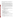availability of sample concentrations that were tightly (i.e.,  $+/-10\%$ ) clustered about the clearance levels was limited. In order to perform a broader fp/fn analysis, the range of lead levels in the ELPAT samples that bracketed the pertinent clearance levels will be extended to  $\pm$  25% of the target concentration.

### *6.9.3.5 Comparability*

Comparability refers to how well the field technology and the NLLAP-recognized laboratory data agree. The difference between accuracy and comparability is that accuracy is judged relative to a known value, comparability is judged relative to the results of a laboratory procedure, which may or may not report the results accurately. Comparing averages from similar samples measured by the technology with corresponding averages measured by the laboratory will be performed for all target concentration levels.

A correlation coefficient quantifies the linear relationship between two measurements [9]. The correlation coefficient is denoted by the letter *r*; its value ranges from  $-1$  to  $+1$ , where 0 indicates the absence of any linear relationship. The value  $r = -1$  indicates a perfect negative linear relation (one measurement decreases as the second measurement increases); the value  $r = +1$  indicates a perfect positive linear relation (one measurement increases as the second measurement increases). The slope of the linear regression line, denoted by the letter *m*, is related to *r*. Whereas *r* represents the linear association between the vendor and laboratory concentrations, *m* quantifies the amount of change in the vendor's measurements relative to the laboratory's measurements. A value of +1 for the slope indicates perfect agreement. Values greater than 1 indicate that the vendor results are generally higher than the laboratory, while values less than 1 indicate that the vendor results are usually lower than the laboratory.

# *6.9.3.6 Completeness*

Completeness refers to the amount of data collected from a measurement process expressed as a percentage of the data that would be obtained using an ideal process under ideal conditions. The completeness objective for data generated during this verification is 95% or better.

There are many instances which might cause the sample analysis to be incomplete. Some of these are:

- Instrument failure;
- Calibration requirements not being met;
- Elevated analyte levels in the method blank.

# **7 HEALTH AND SAFETY PLAN**

This section describes the specific health and safety procedures that will be used during the field work at the EPA Region 1 laboratory in North Chelmsford, MA.

# 7.1 Contact Information

The ORNL project manager will be Roger Jenkins, (865) 574-4871. The ORNL project statistician will be Chuck Bayne, (865) 574-3134. The ES&H Coordinator will be Fred Smith, (865) 574-4945. The ORNL Quality Assurance Specialist (QAS) will be Janet Wagner, (865) 576-8335. The US EPA Region 1 site contact will be Paul Carroll, (617) 918-8306.

# 7.2 Health and Safety Plan Enforcement

ORNL project manager and the ES&H Coordinator were responsible for developing the health and safety plan. The ORNL project manager will ultimately be responsible for ensuring that all verification participants understand and abide by the requirements of this HASP.

# 7.3 Site Access

Site training will be provided to the vendor prior to testing. The training will include a review of this health and safety plan. Because the test will be conducted in an EPA laboratory, standard procedures for the laboratory (such as use of safety glasses) will be followed, as required.

# 7.4 Waste Generation

The EPA Region 1 site contact will be responsible for ensuring that the chemical waste generated during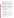the test is handled properly. Because the vendor has an x-ray fluorescence technology which does not require the use of chemicals for sample preparation, no hazardous waste should be generated. The used (i.e., analyzed) dust wipe samples will be shipped back to ORNL after the test.

# 7.5 Hazard Evaluation

 The technology vendor must provide their own personal protective equipment (PPE), based on the hazards associated with the operation of their technology. Although unlikely to be necessary, visitors will be provided with PPE if warranted. The hazard information provided below was gathered from the ORNL Material Safety Data Sheet (MSDS) web page and serves as a general guideline for the hazards likely to be encountered during this field test.

Lead will be the most prevalent chemical hazard at the verification test. Exposure to lead can cause eye, skin, and gastrointestinal irritation. If inhaled, it may cause a respiratory tract irritation. The highest concentration of lead in the dust samples will be  $1,500 \mu$ g, and most of the sample concentrations will be well below that level.

# 7.6 Personal Protection

PPE is appropriate to protect against known and potential health hazards encountered during routine operation of the technology systems. For this verification, Level D PPE is required. Level D provides minimal protection against chemical hazards. Level D PPE will be supplied by the individual technology vendor. It consists only as a work uniform, with gloves worn, where necessary. The only requirement for this verification test is appropriate work clothes, with no shorts or open-toed shoes. ORNL will provide visitors with PPE if necessary. If site conditions indicate that additional hazards are present, ORNL may recommend different or additional PPE to the vendor.

# 7.7 Physical Hazards

Physical hazards associated with field activities present a potential threat to on-site personnel. Dangers are posed by unseen obstacles, noise, and poor illumination. Injuries may result from the following:

- Accidents due to slipping, tripping, or falling
- Improper lifting techniques
- Moving or rotating equipment
- Improperly maintained equipment

Injuries resulting from physical hazards can be avoided by adopting safe work practices and by using caution when working with machinery.

#### 7.8 Fire

The following specific actions will be taken to reduce the potential for fire during site activities:

- No smoking in the building.
- Fire extinguishers will be maintained on-site.
- All personnel will be trained on the location and operation of the portable fire extinguishers.

• All personnel will be trained on the location of the phones and the number to call the fire department.

# 7.9 Mechanical, Electrical, Noise Hazards

Some technology-specific hazards may be identified once the vendor sets up their equipment. Proper hazards controls (i.e., guarding or markings) or PPE (i.e., ear plugs for noise hazards) will be implemented as necessary.

Electrical cables represent a potential tripping hazards. When practical, cables will be placed in areas of low pedestrian travel. If necessary, in high pedestrian travel areas, covers will be installed over cables.

# 7.10 Medical Support

Once on-site, ORNL will discuss medical options with the EPA Region 1 site contact and provide the information to the vendor during the site training.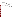# 7.11 Environmental Surveillance

The ORNL project manager will be responsible for surveying the site before, during, and after the verification test. Appropriate personnel (e.g., ES&H Coordinator, EPO, etc.) will be contacted to assist with any health or safety concerns.

# 7.12 Safe Work Practices

The vendor will provide the required training and equipment for their personnel to meet safe operating practice and procedures. The individual technology vendor and their company are ultimately responsible for the safety of their workers.

The following safe work practices will be implemented at the site for worker safety:

- Eating, drinking, chewing tobacco, and smoking will be permitted only in designated areas;
- Wash facilities will be utilized by all personnel before eating, drinking, or toilet facility use;
- PPE requirements (See Section 7.6) will be followed.

# 7.13 Complaints

All complaints should be filed with the ORNL project manager. All complaints will be treated on an individual basis and investigated accordingly. Complaints will be documented and reported to BMI.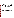#### **REFERENCES**

- [1] Code of Federal Regulations. 2001. "*Identification of Dangerous Levels of Lead*", Final Rule, 40 CFR Part 745, January.
- [2] American Society for Testing and Materials. 1996. "Specification E1792-96a: Standard Specification for Wipe Sampling Materials for Lead in Surface Dust" in *ASTM Standards on Lead Hazards Associated with Buildings.* West Conshohocken, PA.
- [3] Ashley, K., K. Mapp, and M. Millson. 1998. "Ultrasonic Extraction and Field-Portable Anodic Stripping Voltammetry for the Determination of Lead in Workplace Air Samples." *AIHA Journal*. 59(10), 671 679.
- [4] EPA (U.S. Environmental Protection Agency). 1996. "Method 3050B-1: Acid Digestion of Sediment, Sludge, and Soils." In *Test Methods for Evaluating Solid Waste: Physical/ Chemical Methods, Update II.*  SW-846. U.S. Environmental Protection Agency, Washington, D.C., December.
- [5] EPA (U.S. Environmental Protection Agency). 1996. "Method 6010B-1: Inductively Coupled Plasma-Atomic Emission Spectrometry." In *Test Methods for Evaluating Solid Waste: Physical/ Chemical Methods, Update II.* SW-846. U.S. Environmental Protection Agency, Washington, D.C., December.
- [6] American Society for Testing and Materials. 1998. "Practice E1644: Standard Practice for Hot Plate Digestion of Dust Wipe Samples for the Determination of Lead" in *ASTM Standards on Lead Hazards Associated with Buildings.* West Conshohocken, PA.
- [7] ORNL (Oak Ridge National Laboratory). 1998. *Quality Management Plan for the Environmental Technology Verification Program's Site Characterization and Monitoring Technologies Pilot.* QMP-X-98-CASD-001, Rev. 0. Oak Ridge National Laboratory, Oak Ridge, Tenn., November.
- [8] Keith, L.H., G. L. Patton, D.L. Lewis and P.G. Edwards. 1996. *Chapter 1: Determining What Kinds of Samples and How Many Samples to Analyze*, pp. 19. In Principles of Environmental Sampling, Second Edition, Edited by L. H. Keith, ACS Professional Reference Book, American Chemical Society, Washington, DC.
- [9] Draper, N. R., and H. Smith. 1981. *Applied Regression Analysis.* 2nd ed. John Wiley & Sons, New York.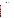# **APPENDIX A**

**LABORATORY STANDARD OPERATING PROCEDURES** 

Supplied by: DataChem (Cincinnati, Ohio)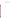## **APPENDIX B**

**ELPAT CERTIFICATE OF ANALYSIS SHEET**  Supplied by: American Industrial Hygiene Association